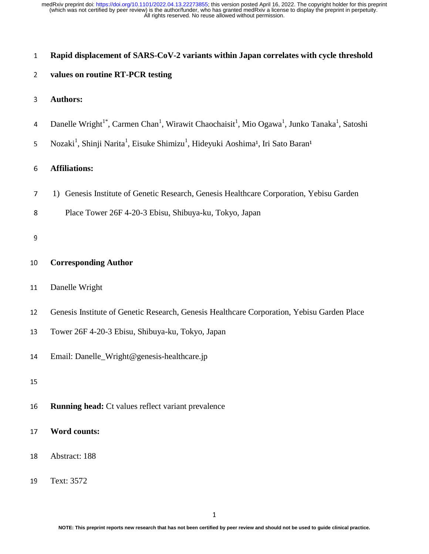| $\mathbf{1}$   | Rapid displacement of SARS-CoV-2 variants within Japan correlates with cycle threshold                                                                    |  |  |  |  |  |
|----------------|-----------------------------------------------------------------------------------------------------------------------------------------------------------|--|--|--|--|--|
| $\overline{2}$ | values on routine RT-PCR testing                                                                                                                          |  |  |  |  |  |
| 3              | <b>Authors:</b>                                                                                                                                           |  |  |  |  |  |
| 4              | Danelle Wright <sup>1*</sup> , Carmen Chan <sup>1</sup> , Wirawit Chaochaisit <sup>1</sup> , Mio Ogawa <sup>1</sup> , Junko Tanaka <sup>1</sup> , Satoshi |  |  |  |  |  |
| 5              | Nozaki <sup>1</sup> , Shinji Narita <sup>1</sup> , Eisuke Shimizu <sup>1</sup> , Hideyuki Aoshima <sup>1</sup> , Iri Sato Baran <sup>1</sup>              |  |  |  |  |  |
| 6              | <b>Affiliations:</b>                                                                                                                                      |  |  |  |  |  |
| 7              | 1) Genesis Institute of Genetic Research, Genesis Healthcare Corporation, Yebisu Garden                                                                   |  |  |  |  |  |
| 8              | Place Tower 26F 4-20-3 Ebisu, Shibuya-ku, Tokyo, Japan                                                                                                    |  |  |  |  |  |
| 9              |                                                                                                                                                           |  |  |  |  |  |
| 10             | <b>Corresponding Author</b>                                                                                                                               |  |  |  |  |  |
| 11             | Danelle Wright                                                                                                                                            |  |  |  |  |  |
| 12             | Genesis Institute of Genetic Research, Genesis Healthcare Corporation, Yebisu Garden Place                                                                |  |  |  |  |  |
| 13             | Tower 26F 4-20-3 Ebisu, Shibuya-ku, Tokyo, Japan                                                                                                          |  |  |  |  |  |
| 14             | Email: Danelle_Wright@genesis-healthcare.jp                                                                                                               |  |  |  |  |  |
| 15             |                                                                                                                                                           |  |  |  |  |  |
| 16             | <b>Running head:</b> Ct values reflect variant prevalence                                                                                                 |  |  |  |  |  |
| 17             | <b>Word counts:</b>                                                                                                                                       |  |  |  |  |  |
| 18             | Abstract: 188                                                                                                                                             |  |  |  |  |  |
| 19             | Text: 3572                                                                                                                                                |  |  |  |  |  |
|                |                                                                                                                                                           |  |  |  |  |  |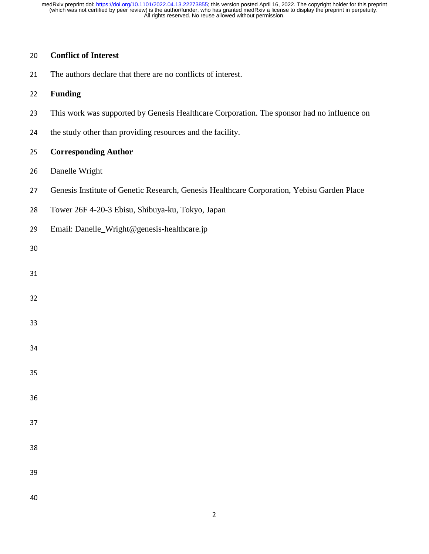# **Conflict of Interest**

21 The authors declare that there are no conflicts of interest.

## **Funding**

- 23 This work was supported by Genesis Healthcare Corporation. The sponsor had no influence on
- 24 the study other than providing resources and the facility.

## **Corresponding Author**

- 26 Danelle Wright
- Genesis Institute of Genetic Research, Genesis Healthcare Corporation, Yebisu Garden Place
- Tower 26F 4-20-3 Ebisu, Shibuya-ku, Tokyo, Japan
- Email: Danelle\_Wright@genesis-healthcare.jp
-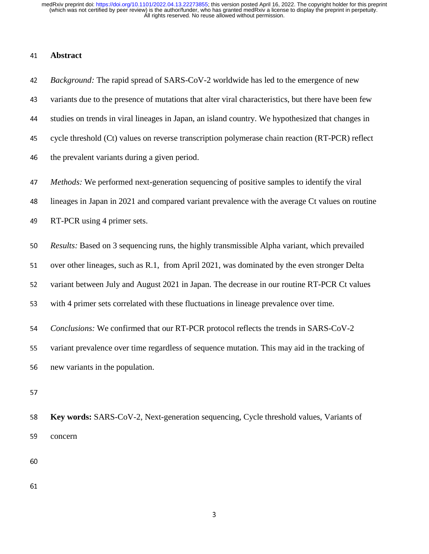### <sup>41</sup>**Abstract**

<sup>42</sup>*Background:* The rapid spread of SARS-CoV-2 worldwide has led to the emergence of new 43 variants due to the presence of mutations that alter viral characteristics, but there have been few <sup>44</sup>studies on trends in viral lineages in Japan, an island country. We hypothesized that changes in 45 cycle threshold (Ct) values on reverse transcription polymerase chain reaction (RT-PCR) reflect 46 the prevalent variants during a given period. <sup>47</sup>*Methods:* We performed next-generation sequencing of positive samples to identify the viral <sup>48</sup>lineages in Japan in 2021 and compared variant prevalence with the average Ct values on routine <sup>49</sup>RT-PCR using 4 primer sets. <sup>50</sup>*Results:* Based on 3 sequencing runs, the highly transmissible Alpha variant, which prevailed 51 over other lineages, such as R.1, from April 2021, was dominated by the even stronger Delta 52 variant between July and August 2021 in Japan. The decrease in our routine RT-PCR Ct values 53 with 4 primer sets correlated with these fluctuations in lineage prevalence over time. <sup>54</sup>*Conclusions:* We confirmed that our RT-PCR protocol reflects the trends in SARS-CoV-2 55 variant prevalence over time regardless of sequence mutation. This may aid in the tracking of 56 new variants in the population. 57

<sup>58</sup>**Key words:** SARS-CoV-2, Next-generation sequencing, Cycle threshold values, Variants of 59 concern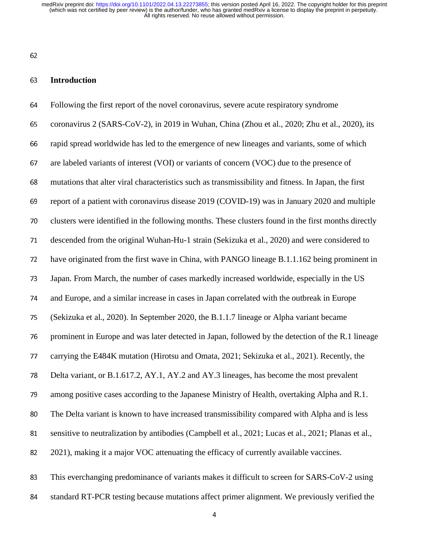62

#### <sup>63</sup>**Introduction**

<sup>64</sup>Following the first report of the novel coronavirus, severe acute respiratory syndrome <sup>65</sup>coronavirus 2 (SARS-CoV-2), in 2019 in Wuhan, China (Zhou et al., 2020; Zhu et al., 2020), its <sup>66</sup>rapid spread worldwide has led to the emergence of new lineages and variants, some of which 67 are labeled variants of interest (VOI) or variants of concern (VOC) due to the presence of <sup>68</sup>mutations that alter viral characteristics such as transmissibility and fitness. In Japan, the first 69 report of a patient with coronavirus disease 2019 (COVID-19) was in January 2020 and multiple 70 clusters were identified in the following months. These clusters found in the first months directly 71 descended from the original Wuhan-Hu-1 strain (Sekizuka et al., 2020) and were considered to 72 have originated from the first wave in China, with PANGO lineage B.1.1.162 being prominent in 73 Japan. From March, the number of cases markedly increased worldwide, especially in the US <sup>74</sup>and Europe, and a similar increase in cases in Japan correlated with the outbreak in Europe <sup>75</sup>(Sekizuka et al., 2020). In September 2020, the B.1.1.7 lineage or Alpha variant became 76 prominent in Europe and was later detected in Japan, followed by the detection of the R.1 lineage 77 carrying the E484K mutation (Hirotsu and Omata, 2021; Sekizuka et al., 2021). Recently, the 78 Delta variant, or B.1.617.2, AY.1, AY.2 and AY.3 lineages, has become the most prevalent 79 among positive cases according to the Japanese Ministry of Health, overtaking Alpha and R.1. 80 The Delta variant is known to have increased transmissibility compared with Alpha and is less 81 sensitive to neutralization by antibodies (Campbell et al., 2021; Lucas et al., 2021; Planas et al., 82 2021), making it a major VOC attenuating the efficacy of currently available vaccines. 83 This everchanging predominance of variants makes it difficult to screen for SARS-CoV-2 using

84 standard RT-PCR testing because mutations affect primer alignment. We previously verified the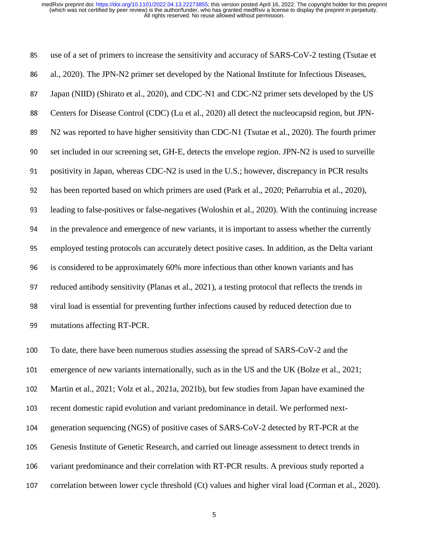85 use of a set of primers to increase the sensitivity and accuracy of SARS-CoV-2 testing (Tsutae et 86 al., 2020). The JPN-N2 primer set developed by the National Institute for Infectious Diseases, 87 Japan (NIID) (Shirato et al., 2020), and CDC-N1 and CDC-N2 primer sets developed by the US 88 Centers for Disease Control (CDC) (Lu et al., 2020) all detect the nucleocapsid region, but JPN-89 N2 was reported to have higher sensitivity than CDC-N1 (Tsutae et al., 2020). The fourth primer 90 set included in our screening set, GH-E, detects the envelope region. JPN-N2 is used to surveille 91 positivity in Japan, whereas CDC-N2 is used in the U.S.; however, discrepancy in PCR results <sup>92</sup>has been reported based on which primers are used (Park et al., 2020; Peñarrubia et al., 2020), <sup>93</sup>leading to false-positives or false-negatives (Woloshin et al., 2020). With the continuing increase 94 in the prevalence and emergence of new variants, it is important to assess whether the currently 95 employed testing protocols can accurately detect positive cases. In addition, as the Delta variant 96 is considered to be approximately 60% more infectious than other known variants and has 97 reduced antibody sensitivity (Planas et al., 2021), a testing protocol that reflects the trends in <sup>98</sup>viral load is essential for preventing further infections caused by reduced detection due to 99 mutations affecting RT-PCR. 100 To date, there have been numerous studies assessing the spread of SARS-CoV-2 and the 101 emergence of new variants internationally, such as in the US and the UK (Bolze et al., 2021;

102 Martin et al., 2021; Volz et al., 2021a, 2021b), but few studies from Japan have examined the

103 recent domestic rapid evolution and variant predominance in detail. We performed next-

104 generation sequencing (NGS) of positive cases of SARS-CoV-2 detected by RT-PCR at the

- 105 Genesis Institute of Genetic Research, and carried out lineage assessment to detect trends in
- 106 variant predominance and their correlation with RT-PCR results. A previous study reported a
- 107 correlation between lower cycle threshold (Ct) values and higher viral load (Corman et al., 2020).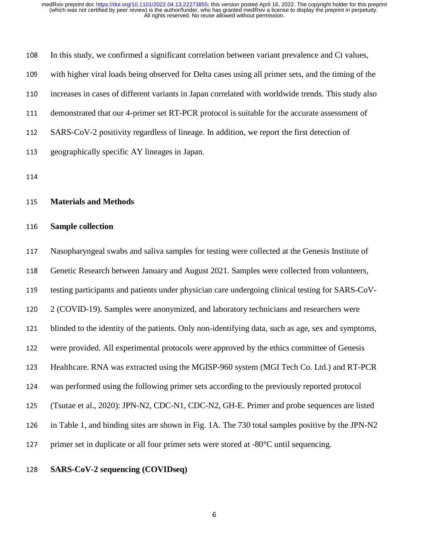| 108 | In this study, we confirmed a significant correlation between variant prevalence and Ct values,     |
|-----|-----------------------------------------------------------------------------------------------------|
| 109 | with higher viral loads being observed for Delta cases using all primer sets, and the timing of the |
| 110 | increases in cases of different variants in Japan correlated with worldwide trends. This study also |
| 111 | demonstrated that our 4-primer set RT-PCR protocol is suitable for the accurate assessment of       |
| 112 | SARS-CoV-2 positivity regardless of lineage. In addition, we report the first detection of          |
| 113 | geographically specific AY lineages in Japan.                                                       |

114

#### <sup>115</sup>**Materials and Methods**

#### <sup>116</sup>**Sample collection**

117 Nasopharyngeal swabs and saliva samples for testing were collected at the Genesis Institute of 118 Genetic Research between January and August 2021. Samples were collected from volunteers, 119 testing participants and patients under physician care undergoing clinical testing for SARS-CoV-120 2 (COVID-19). Samples were anonymized, and laboratory technicians and researchers were 121 blinded to the identity of the patients. Only non-identifying data, such as age, sex and symptoms, 122 were provided. All experimental protocols were approved by the ethics committee of Genesis 123 Healthcare. RNA was extracted using the MGISP-960 system (MGI Tech Co. Ltd.) and RT-PCR <sup>124</sup>was performed using the following primer sets according to the previously reported protocol 125 (Tsutae et al., 2020): JPN-N2, CDC-N1, CDC-N2, GH-E. Primer and probe sequences are listed 126 in Table 1, and binding sites are shown in Fig. 1A. The 730 total samples positive by the JPN-N2 127 primer set in duplicate or all four primer sets were stored at  $-80^{\circ}$ C until sequencing.

## <sup>128</sup>**SARS-CoV-2 sequencing (COVIDseq)**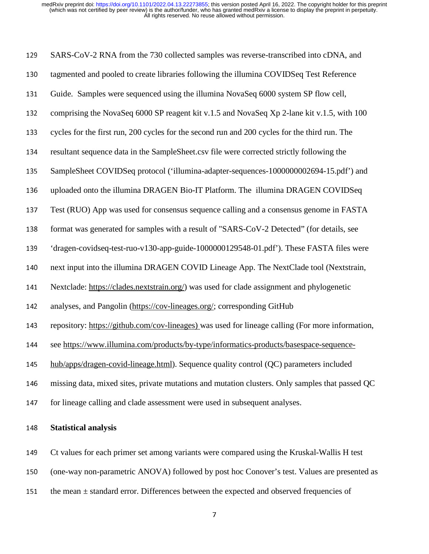| 129 | SARS-CoV-2 RNA from the 730 collected samples was reverse-transcribed into cDNA, and             |
|-----|--------------------------------------------------------------------------------------------------|
| 130 | tagmented and pooled to create libraries following the illumina COVIDSeq Test Reference          |
| 131 | Guide. Samples were sequenced using the illumina NovaSeq 6000 system SP flow cell,               |
| 132 | comprising the NovaSeq 6000 SP reagent kit v.1.5 and NovaSeq Xp 2-lane kit v.1.5, with 100       |
| 133 | cycles for the first run, 200 cycles for the second run and 200 cycles for the third run. The    |
| 134 | resultant sequence data in the SampleSheet.csv file were corrected strictly following the        |
| 135 | SampleSheet COVIDSeq protocol ('illumina-adapter-sequences-1000000002694-15.pdf') and            |
| 136 | uploaded onto the illumina DRAGEN Bio-IT Platform. The illumina DRAGEN COVIDSeq                  |
| 137 | Test (RUO) App was used for consensus sequence calling and a consensus genome in FASTA           |
| 138 | format was generated for samples with a result of "SARS-CoV-2 Detected" (for details, see        |
| 139 | 'dragen-covidseq-test-ruo-v130-app-guide-1000000129548-01.pdf'). These FASTA files were          |
| 140 | next input into the illumina DRAGEN COVID Lineage App. The NextClade tool (Nextstrain,           |
| 141 | Nextclade: https://clades.nextstrain.org/) was used for clade assignment and phylogenetic        |
| 142 | analyses, and Pangolin (https://cov-lineages.org/; corresponding GitHub                          |
| 143 | repository: https://github.com/cov-lineages) was used for lineage calling (For more information, |
| 144 | see https://www.illumina.com/products/by-type/informatics-products/basespace-sequence-           |
| 145 | hub/apps/dragen-covid-lineage.html). Sequence quality control (QC) parameters included           |
| 146 | missing data, mixed sites, private mutations and mutation clusters. Only samples that passed QC  |
| 147 | for lineage calling and clade assessment were used in subsequent analyses.                       |
| 148 | <b>Statistical analysis</b>                                                                      |

149 Ct values for each primer set among variants were compared using the Kruskal-Wallis H test

150 (one-way non-parametric ANOVA) followed by post hoc Conover's test. Values are presented as

151 the mean  $\pm$  standard error. Differences between the expected and observed frequencies of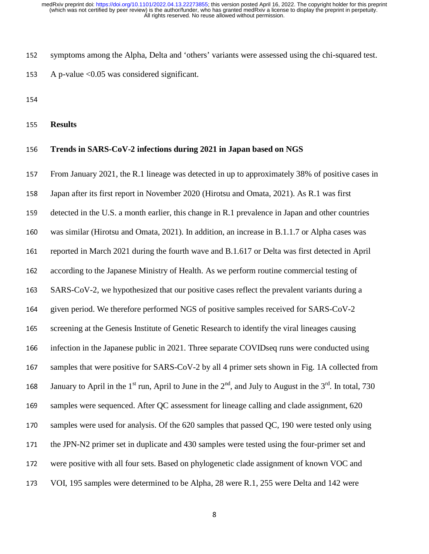152 symptoms among the Alpha, Delta and 'others' variants were assessed using the chi-squared test.

153 A p-value  $< 0.05$  was considered significant.

154

<sup>155</sup>**Results** 

#### <sup>156</sup>**Trends in SARS-CoV-2 infections during 2021 in Japan based on NGS**

157 From January 2021, the R.1 lineage was detected in up to approximately 38% of positive cases in 158 Japan after its first report in November 2020 (Hirotsu and Omata, 2021). As R.1 was first 159 detected in the U.S. a month earlier, this change in R.1 prevalence in Japan and other countries 160 was similar (Hirotsu and Omata, 2021). In addition, an increase in B.1.1.7 or Alpha cases was 161 reported in March 2021 during the fourth wave and B.1.617 or Delta was first detected in April 162 according to the Japanese Ministry of Health. As we perform routine commercial testing of 163 SARS-CoV-2, we hypothesized that our positive cases reflect the prevalent variants during a 164 given period. We therefore performed NGS of positive samples received for SARS-CoV-2 165 screening at the Genesis Institute of Genetic Research to identify the viral lineages causing 166 infection in the Japanese public in 2021. Three separate COVIDseq runs were conducted using 167 samples that were positive for SARS-CoV-2 by all 4 primer sets shown in Fig. 1A collected from 168 January to April in the 1<sup>st</sup> run, April to June in the  $2^{nd}$ , and July to August in the  $3^{rd}$ . In total, 730 169 samples were sequenced. After QC assessment for lineage calling and clade assignment, 620 170 samples were used for analysis. Of the 620 samples that passed QC, 190 were tested only using 171 the JPN-N2 primer set in duplicate and 430 samples were tested using the four-primer set and 172 were positive with all four sets. Based on phylogenetic clade assignment of known VOC and 173 VOI, 195 samples were determined to be Alpha, 28 were R.1, 255 were Delta and 142 were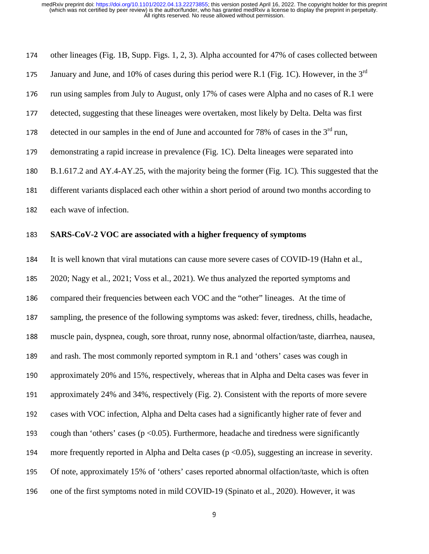| 174 | other lineages (Fig. 1B, Supp. Figs. 1, 2, 3). Alpha accounted for 47% of cases collected between     |
|-----|-------------------------------------------------------------------------------------------------------|
| 175 | January and June, and 10% of cases during this period were R.1 (Fig. 1C). However, in the $3rd$       |
| 176 | run using samples from July to August, only 17% of cases were Alpha and no cases of R.1 were          |
| 177 | detected, suggesting that these lineages were overtaken, most likely by Delta. Delta was first        |
| 178 | detected in our samples in the end of June and accounted for 78% of cases in the 3 <sup>rd</sup> run, |
| 179 | demonstrating a rapid increase in prevalence (Fig. 1C). Delta lineages were separated into            |
| 180 | B.1.617.2 and AY.4-AY.25, with the majority being the former (Fig. 1C). This suggested that the       |
| 181 | different variants displaced each other within a short period of around two months according to       |
| 182 | each wave of infection.                                                                               |

#### <sup>183</sup>**SARS-CoV-2 VOC are associated with a higher frequency of symptoms**

184 It is well known that viral mutations can cause more severe cases of COVID-19 (Hahn et al., 185 2020; Nagy et al., 2021; Voss et al., 2021). We thus analyzed the reported symptoms and 186 compared their frequencies between each VOC and the "other" lineages. At the time of 187 sampling, the presence of the following symptoms was asked: fever, tiredness, chills, headache, <sup>188</sup>muscle pain, dyspnea, cough, sore throat, runny nose, abnormal olfaction/taste, diarrhea, nausea, 189 and rash. The most commonly reported symptom in R.1 and 'others' cases was cough in 190 approximately 20% and 15%, respectively, whereas that in Alpha and Delta cases was fever in 191 approximately 24% and 34%, respectively (Fig. 2). Consistent with the reports of more severe 192 cases with VOC infection, Alpha and Delta cases had a significantly higher rate of fever and 193 cough than 'others' cases ( $p < 0.05$ ). Furthermore, headache and tiredness were significantly 194 more frequently reported in Alpha and Delta cases ( $p < 0.05$ ), suggesting an increase in severity. 195 Of note, approximately 15% of 'others' cases reported abnormal olfaction/taste, which is often 196 one of the first symptoms noted in mild COVID-19 (Spinato et al., 2020). However, it was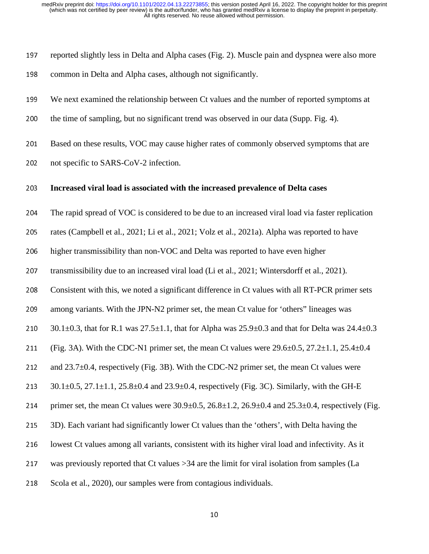197 reported slightly less in Delta and Alpha cases (Fig. 2). Muscle pain and dyspnea were also more 198 common in Delta and Alpha cases, although not significantly.

<sup>199</sup>We next examined the relationship between Ct values and the number of reported symptoms at

200 the time of sampling, but no significant trend was observed in our data (Supp. Fig. 4).

201 Based on these results, VOC may cause higher rates of commonly observed symptoms that are

202 not specific to SARS-CoV-2 infection.

#### <sup>203</sup>**Increased viral load is associated with the increased prevalence of Delta cases**

<sup>204</sup>The rapid spread of VOC is considered to be due to an increased viral load via faster replication

205 rates (Campbell et al., 2021; Li et al., 2021; Volz et al., 2021a). Alpha was reported to have

206 higher transmissibility than non-VOC and Delta was reported to have even higher

207 transmissibility due to an increased viral load (Li et al., 2021; Wintersdorff et al., 2021).

208 Consistent with this, we noted a significant difference in Ct values with all RT-PCR primer sets

209 among variants. With the JPN-N2 primer set, the mean Ct value for 'others' lineages was

210 30.1±0.3, that for R.1 was  $27.5\pm1.1$ , that for Alpha was  $25.9\pm0.3$  and that for Delta was  $24.4\pm0.3$ 

211 (Fig. 3A). With the CDC-N1 primer set, the mean Ct values were  $29.6\pm0.5$ ,  $27.2\pm1.1$ ,  $25.4\pm0.4$ 

212 and  $23.7\pm0.4$ , respectively (Fig. 3B). With the CDC-N2 primer set, the mean Ct values were

213  $30.1 \pm 0.5$ ,  $27.1 \pm 1.1$ ,  $25.8 \pm 0.4$  and  $23.9 \pm 0.4$ , respectively (Fig. 3C). Similarly, with the GH-E

214 primer set, the mean Ct values were  $30.9 \pm 0.5$ ,  $26.8 \pm 1.2$ ,  $26.9 \pm 0.4$  and  $25.3 \pm 0.4$ , respectively (Fig.

215 3D). Each variant had significantly lower Ct values than the 'others', with Delta having the

216 lowest Ct values among all variants, consistent with its higher viral load and infectivity. As it

217 was previously reported that Ct values >34 are the limit for viral isolation from samples (La

218 Scola et al., 2020), our samples were from contagious individuals.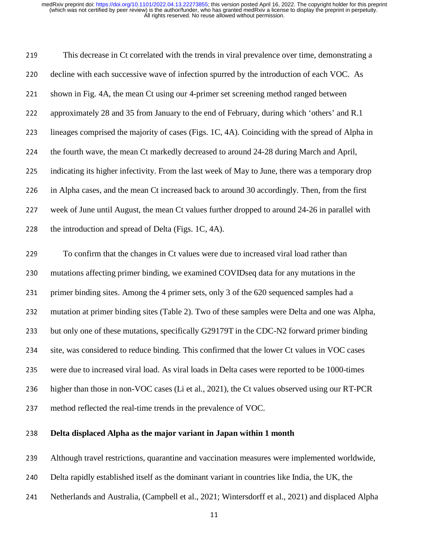| 219 | This decrease in Ct correlated with the trends in viral prevalence over time, demonstrating a    |
|-----|--------------------------------------------------------------------------------------------------|
| 220 | decline with each successive wave of infection spurred by the introduction of each VOC. As       |
| 221 | shown in Fig. 4A, the mean Ct using our 4-primer set screening method ranged between             |
| 222 | approximately 28 and 35 from January to the end of February, during which 'others' and R.1       |
| 223 | lineages comprised the majority of cases (Figs. 1C, 4A). Coinciding with the spread of Alpha in  |
| 224 | the fourth wave, the mean Ct markedly decreased to around 24-28 during March and April,          |
| 225 | indicating its higher infectivity. From the last week of May to June, there was a temporary drop |
| 226 | in Alpha cases, and the mean Ct increased back to around 30 accordingly. Then, from the first    |
| 227 | week of June until August, the mean Ct values further dropped to around 24-26 in parallel with   |
| 228 | the introduction and spread of Delta (Figs. 1C, 4A).                                             |
| 229 | To confirm that the changes in Ct values were due to increased viral load rather than            |
| 230 | mutations affecting primer binding, we examined COVIDseq data for any mutations in the           |
| 231 | primer binding sites. Among the 4 primer sets, only 3 of the 620 sequenced samples had a         |
| 232 | mutation at primer binding sites (Table 2). Two of these samples were Delta and one was Alpha,   |
| 233 | but only one of these mutations, specifically G29179T in the CDC-N2 forward primer binding       |
|     |                                                                                                  |

234 site, was considered to reduce binding. This confirmed that the lower Ct values in VOC cases

235 were due to increased viral load. As viral loads in Delta cases were reported to be 1000-times

236 higher than those in non-VOC cases (Li et al., 2021), the Ct values observed using our RT-PCR

237 method reflected the real-time trends in the prevalence of VOC.

## **Delta displaced Alpha as the major variant in Japan within 1 month**

239 Although travel restrictions, quarantine and vaccination measures were implemented worldwide,

- 240 Delta rapidly established itself as the dominant variant in countries like India, the UK, the
- 241 Netherlands and Australia, (Campbell et al., 2021; Wintersdorff et al., 2021) and displaced Alpha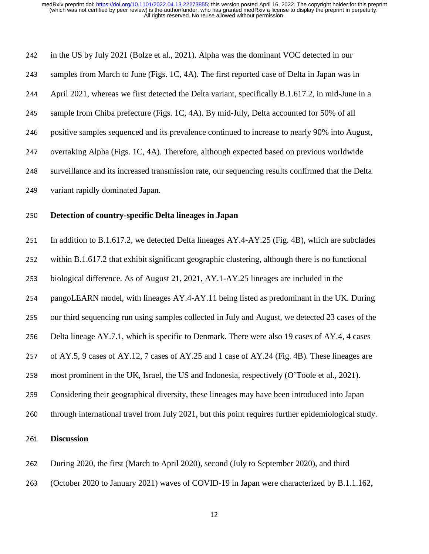| 242 | in the US by July 2021 (Bolze et al., 2021). Alpha was the dominant VOC detected in our             |
|-----|-----------------------------------------------------------------------------------------------------|
| 243 | samples from March to June (Figs. 1C, 4A). The first reported case of Delta in Japan was in         |
| 244 | April 2021, whereas we first detected the Delta variant, specifically B.1.617.2, in mid-June in a   |
| 245 | sample from Chiba prefecture (Figs. 1C, 4A). By mid-July, Delta accounted for 50% of all            |
| 246 | positive samples sequenced and its prevalence continued to increase to nearly 90% into August,      |
| 247 | overtaking Alpha (Figs. 1C, 4A). Therefore, although expected based on previous worldwide           |
| 248 | surveillance and its increased transmission rate, our sequencing results confirmed that the Delta   |
| 249 | variant rapidly dominated Japan.                                                                    |
| 250 | Detection of country-specific Delta lineages in Japan                                               |
| 251 | In addition to B.1.617.2, we detected Delta lineages AY.4-AY.25 (Fig. 4B), which are subclades      |
| 252 | within B.1.617.2 that exhibit significant geographic clustering, although there is no functional    |
| 253 | biological difference. As of August 21, 2021, AY.1-AY.25 lineages are included in the               |
| 254 | pangoLEARN model, with lineages AY.4-AY.11 being listed as predominant in the UK. During            |
| 255 | our third sequencing run using samples collected in July and August, we detected 23 cases of the    |
| 256 | Delta lineage AY.7.1, which is specific to Denmark. There were also 19 cases of AY.4, 4 cases       |
| 257 | of AY.5, 9 cases of AY.12, 7 cases of AY.25 and 1 case of AY.24 (Fig. 4B). These lineages are       |
| 258 | most prominent in the UK, Israel, the US and Indonesia, respectively (O'Toole et al., 2021).        |
| 259 | Considering their geographical diversity, these lineages may have been introduced into Japan        |
| 260 | through international travel from July 2021, but this point requires further epidemiological study. |
| 261 | <b>Discussion</b>                                                                                   |
| 262 | During 2020, the first (March to April 2020), second (July to September 2020), and third            |
| 263 | (October 2020 to January 2021) waves of COVID-19 in Japan were characterized by B.1.1.162,          |

12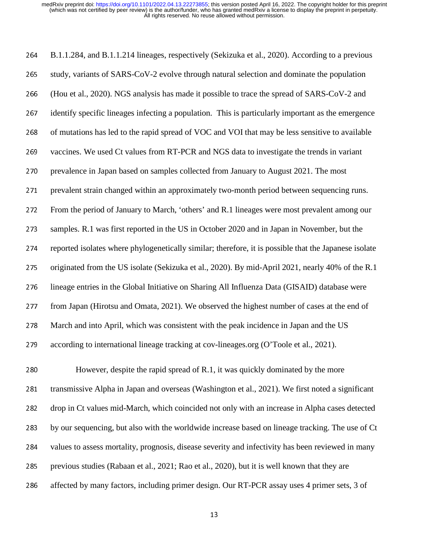264 B.1.1.284, and B.1.1.214 lineages, respectively (Sekizuka et al., 2020). According to a previous 265 study, variants of SARS-CoV-2 evolve through natural selection and dominate the population <sup>266</sup>(Hou et al., 2020). NGS analysis has made it possible to trace the spread of SARS-CoV-2 and 267 identify specific lineages infecting a population. This is particularly important as the emergence 268 of mutations has led to the rapid spread of VOC and VOI that may be less sensitive to available 269 vaccines. We used Ct values from RT-PCR and NGS data to investigate the trends in variant 270 prevalence in Japan based on samples collected from January to August 2021. The most 271 prevalent strain changed within an approximately two-month period between sequencing runs. 272 From the period of January to March, 'others' and R.1 lineages were most prevalent among our 273 samples. R.1 was first reported in the US in October 2020 and in Japan in November, but the 274 reported isolates where phylogenetically similar; therefore, it is possible that the Japanese isolate 275 originated from the US isolate (Sekizuka et al., 2020). By mid-April 2021, nearly 40% of the R.1 276 lineage entries in the Global Initiative on Sharing All Influenza Data (GISAID) database were 277 from Japan (Hirotsu and Omata, 2021). We observed the highest number of cases at the end of 278 March and into April, which was consistent with the peak incidence in Japan and the US 279 according to international lineage tracking at cov-lineages.org (O'Toole et al., 2021). 280 However, despite the rapid spread of R.1, it was quickly dominated by the more

281 transmissive Alpha in Japan and overseas (Washington et al., 2021). We first noted a significant 282 drop in Ct values mid-March, which coincided not only with an increase in Alpha cases detected 283 by our sequencing, but also with the worldwide increase based on lineage tracking. The use of Ct 284 values to assess mortality, prognosis, disease severity and infectivity has been reviewed in many 285 previous studies (Rabaan et al., 2021; Rao et al., 2020), but it is well known that they are 286 affected by many factors, including primer design. Our RT-PCR assay uses 4 primer sets, 3 of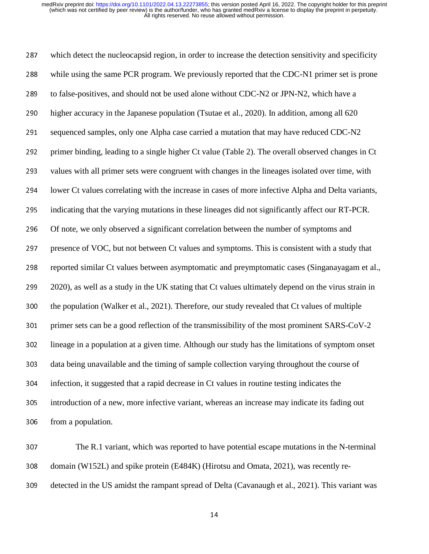287 which detect the nucleocapsid region, in order to increase the detection sensitivity and specificity 288 while using the same PCR program. We previously reported that the CDC-N1 primer set is prone 289 to false-positives, and should not be used alone without CDC-N2 or JPN-N2, which have a 290 higher accuracy in the Japanese population (Tsutae et al., 2020). In addition, among all 620 291 sequenced samples, only one Alpha case carried a mutation that may have reduced CDC-N2 292 primer binding, leading to a single higher Ct value (Table 2). The overall observed changes in Ct 293 values with all primer sets were congruent with changes in the lineages isolated over time, with 294 lower Ct values correlating with the increase in cases of more infective Alpha and Delta variants, 295 indicating that the varying mutations in these lineages did not significantly affect our RT-PCR. 296 Of note, we only observed a significant correlation between the number of symptoms and 297 presence of VOC, but not between Ct values and symptoms. This is consistent with a study that 298 reported similar Ct values between asymptomatic and preymptomatic cases (Singanayagam et al., <sup>299</sup>2020), as well as a study in the UK stating that Ct values ultimately depend on the virus strain in 300 the population (Walker et al., 2021). Therefore, our study revealed that Ct values of multiple 301 primer sets can be a good reflection of the transmissibility of the most prominent SARS-CoV-2 302 lineage in a population at a given time. Although our study has the limitations of symptom onset 303 data being unavailable and the timing of sample collection varying throughout the course of <sup>304</sup>infection, it suggested that a rapid decrease in Ct values in routine testing indicates the <sup>305</sup>introduction of a new, more infective variant, whereas an increase may indicate its fading out 306 from a population.

<sup>307</sup>The R.1 variant, which was reported to have potential escape mutations in the N-terminal 308 domain (W152L) and spike protein (E484K) (Hirotsu and Omata, 2021), was recently re-309 detected in the US amidst the rampant spread of Delta (Cavanaugh et al., 2021). This variant was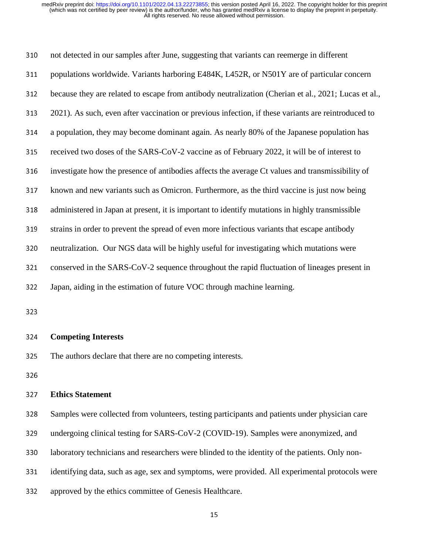| 310 | not detected in our samples after June, suggesting that variants can reemerge in different           |
|-----|------------------------------------------------------------------------------------------------------|
| 311 | populations worldwide. Variants harboring E484K, L452R, or N501Y are of particular concern           |
| 312 | because they are related to escape from antibody neutralization (Cherian et al., 2021; Lucas et al., |
| 313 | 2021). As such, even after vaccination or previous infection, if these variants are reintroduced to  |
| 314 | a population, they may become dominant again. As nearly 80% of the Japanese population has           |
| 315 | received two doses of the SARS-CoV-2 vaccine as of February 2022, it will be of interest to          |
| 316 | investigate how the presence of antibodies affects the average Ct values and transmissibility of     |
| 317 | known and new variants such as Omicron. Furthermore, as the third vaccine is just now being          |
| 318 | administered in Japan at present, it is important to identify mutations in highly transmissible      |
| 319 | strains in order to prevent the spread of even more infectious variants that escape antibody         |
| 320 | neutralization. Our NGS data will be highly useful for investigating which mutations were            |
| 321 | conserved in the SARS-CoV-2 sequence throughout the rapid fluctuation of lineages present in         |
| 322 | Japan, aiding in the estimation of future VOC through machine learning.                              |
| 323 |                                                                                                      |
|     |                                                                                                      |
| 324 | <b>Competing Interests</b>                                                                           |
| 325 | The authors declare that there are no competing interests.                                           |
| 326 |                                                                                                      |
| 327 | <b>Ethics Statement</b>                                                                              |
| 328 | Samples were collected from volunteers, testing participants and patients under physician care       |
| 329 | undergoing clinical testing for SARS-CoV-2 (COVID-19). Samples were anonymized, and                  |
| 330 | laboratory technicians and researchers were blinded to the identity of the patients. Only non-       |
|     |                                                                                                      |

331 identifying data, such as age, sex and symptoms, were provided. All experimental protocols were

332 approved by the ethics committee of Genesis Healthcare.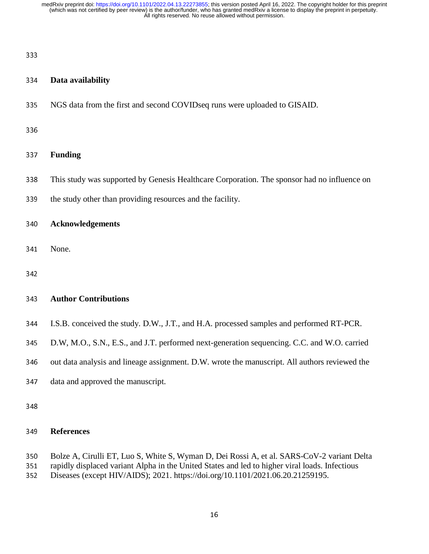#### 333

#### <sup>334</sup>**Data availability**

335 NGS data from the first and second COVIDseq runs were uploaded to GISAID.

336

## <sup>337</sup>**Funding**

- 338 This study was supported by Genesis Healthcare Corporation. The sponsor had no influence on
- 339 the study other than providing resources and the facility.

<sup>340</sup>**Acknowledgements** 

- 341 None.
- 342

#### <sup>343</sup>**Author Contributions**

- 344 I.S.B. conceived the study. D.W., J.T., and H.A. processed samples and performed RT-PCR.
- <sup>345</sup>D.W, M.O., S.N., E.S., and J.T. performed next-generation sequencing. C.C. and W.O. carried
- 346 out data analysis and lineage assignment. D.W. wrote the manuscript. All authors reviewed the
- 347 data and approved the manuscript.
- 

## <sup>349</sup>**References**

- 350 Bolze A, Cirulli ET, Luo S, White S, Wyman D, Dei Rossi A, et al. SARS-CoV-2 variant Delta<br>351 rapidly displaced variant Alpha in the United States and led to higher viral loads. Infectious
- 351 rapidly displaced variant Alpha in the United States and led to higher viral loads. Infectious<br>352 Diseases (except HIV/AIDS); 2021. https://doi.org/10.1101/2021.06.20.21259195.
- Diseases (except HIV/AIDS); 2021. https://doi.org/10.1101/2021.06.20.21259195.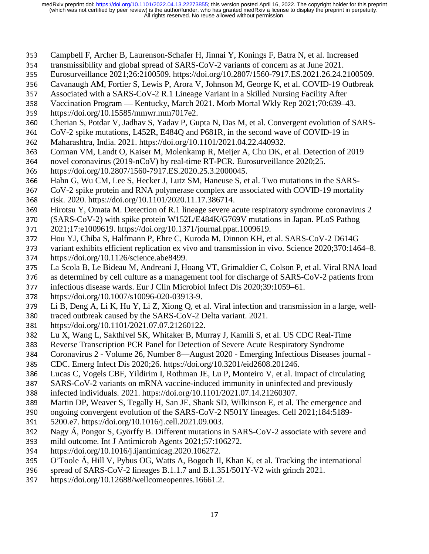- 353 Campbell F, Archer B, Laurenson-Schafer H, Jinnai Y, Konings F, Batra N, et al. Increased<br>354 transmissibility and global spread of SARS-CoV-2 variants of concern as at June 2021.
- 354 transmissibility and global spread of SARS-CoV-2 variants of concern as at June 2021.<br>355 Eurosurveillance 2021;26:2100509. https://doi.org/10.2807/1560-7917.ES.2021.26.24.2
- 
- 355 Eurosurveillance 2021;26:2100509. https://doi.org/10.2807/1560-7917.ES.2021.26.24.2100509.<br>356 Cavanaugh AM, Fortier S, Lewis P, Arora V, Johnson M, George K, et al. COVID-19 Outbreak 356 Cavanaugh AM, Fortier S, Lewis P, Arora V, Johnson M, George K, et al. COVID-19 Outbreak<br>357 Associated with a SARS-CoV-2 R.1 Lineage Variant in a Skilled Nursing Facility After
- 
- 357 Associated with a SARS-CoV-2 R.1 Lineage Variant in a Skilled Nursing Facility After<br>358 Vaccination Program Kentucky, March 2021. Morb Mortal Wkly Rep 2021;70:639–4 358 Vaccination Program — Kentucky, March 2021. Morb Mortal Wkly Rep 2021;70:639–43.<br>359 https://doi.org/10.15585/mmwr.mm7017e2.
- 359 https://doi.org/10.15585/mmwr.mm7017e2.<br>360 Cherian S. Potdar V. Jadhav S. Yadav P. Gu
- 360 Cherian S, Potdar V, Jadhav S, Yadav P, Gupta N, Das M, et al. Convergent evolution of SARS-<br>361 CoV-2 spike mutations, L452R, E484O and P681R, in the second wave of COVID-19 in
- 361 CoV-2 spike mutations, L452R, E484Q and P681R, in the second wave of COVID-19 in<br>362 Maharashtra, India. 2021. https://doi.org/10.1101/2021.04.22.440932.
- 362 Maharashtra, India. 2021. https://doi.org/10.1101/2021.04.22.440932.<br>363 Corman VM, Landt O, Kaiser M, Molenkamp R, Meijer A, Chu DK, 6
- 363 Corman VM, Landt O, Kaiser M, Molenkamp R, Meijer A, Chu DK, et al. Detection of 2019<br>364 novel coronavirus (2019-nCoV) by real-time RT-PCR. Eurosurveillance 2020;25.
- 364 novel coronavirus (2019-nCoV) by real-time RT-PCR. Eurosurveillance 2020;25.<br>365 https://doi.org/10.2807/1560-7917.ES.2020.25.3.2000045.
- 365 https://doi.org/10.2807/1560-7917.ES.2020.25.3.2000045.<br>366 Hahn G, Wu CM, Lee S, Hecker J, Lutz SM, Haneuse S, et
- 366 Hahn G, Wu CM, Lee S, Hecker J, Lutz SM, Haneuse S, et al. Two mutations in the SARS-<br>367 CoV-2 spike protein and RNA polymerase complex are associated with COVID-19 mortality
- 367 CoV-2 spike protein and RNA polymerase complex are associated with COVID-19 mortality<br>368 risk. 2020. https://doi.org/10.1101/2020.11.17.386714.
- 368 risk. 2020. https://doi.org/10.1101/2020.11.17.386714.<br>369 Hirotsu Y, Omata M. Detection of R.1 lineage severe a
- 369 Hirotsu Y, Omata M. Detection of R.1 lineage severe acute respiratory syndrome coronavirus 2<br>370 (SARS-CoV-2) with spike protein W152L/E484K/G769V mutations in Japan. PLoS Pathog
- 370 (SARS-CoV-2) with spike protein W152L/E484K/G769V mutations in Japan. PLoS Pathog<br>371 2021;17:e1009619. https://doi.org/10.1371/journal.ppat.1009619.
- 371 2021;17:e1009619. https://doi.org/10.1371/journal.ppat.1009619.<br>372 Hou YJ, Chiba S, Halfmann P, Ehre C, Kuroda M, Dinnon KH, et
- 372 Hou YJ, Chiba S, Halfmann P, Ehre C, Kuroda M, Dinnon KH, et al. SARS-CoV-2 D614G<br>373 variant exhibits efficient replication ex vivo and transmission in vivo. Science 2020:370:146
- 373 variant exhibits efficient replication ex vivo and transmission in vivo. Science 2020;370:1464–8.<br>374 https://doi.org/10.1126/science.abe8499.
- 374 https://doi.org/10.1126/science.abe8499.<br>375 La Scola B, Le Bideau M, Andreani J, Ho
- 375 La Scola B, Le Bideau M, Andreani J, Hoang VT, Grimaldier C, Colson P, et al. Viral RNA load<br>376 as determined by cell culture as a management tool for discharge of SARS-CoV-2 patients from 376 as determined by cell culture as a management tool for discharge of SARS-CoV-2 patients from<br>377 infectious disease wards. Eur J Clin Microbiol Infect Dis 2020;39:1059–61.
- 377 infectious disease wards. Eur J Clin Microbiol Infect Dis 2020;39:1059–61.<br>378 https://doi.org/10.1007/s10096-020-03913-9.
- 378 https://doi.org/10.1007/s10096-020-03913-9.<br>379 Li B, Deng A, Li K, Hu Y, Li Z, Xiong Q, et a
- 379 Li B, Deng A, Li K, Hu Y, Li Z, Xiong Q, et al. Viral infection and transmission in a large, well-
- 380 traced outbreak caused by the SARS-CoV-2 Delta variant. 2021.<br>381 https://doi.org/10.1101/2021.07.07.21260122.
- 381 https://doi.org/10.1101/2021.07.07.21260122.<br>382 Lu X, Wang L, Sakthivel SK, Whitaker B, Mu
- 382 Lu X, Wang L, Sakthivel SK, Whitaker B, Murray J, Kamili S, et al. US CDC Real-Time<br>383 Reverse Transcription PCR Panel for Detection of Severe Acute Respiratory Syndrome
- 383 Reverse Transcription PCR Panel for Detection of Severe Acute Respiratory Syndrome<br>384 Coronavirus 2 Volume 26, Number 8—August 2020 Emerging Infectious Diseases jo
- 384 Coronavirus 2 Volume 26, Number 8—August 2020 Emerging Infectious Diseases journal -<br>385 CDC. Emerg Infect Dis 2020;26. https://doi.org/10.3201/eid2608.201246.
- 385 CDC. Emerg Infect Dis 2020;26. https://doi.org/10.3201/eid2608.201246.<br>386 Lucas C, Vogels CBF, Yildirim I, Rothman JE, Lu P, Monteiro V, et al. In
- 386 Lucas C, Vogels CBF, Yildirim I, Rothman JE, Lu P, Monteiro V, et al. Impact of circulating SARS-CoV-2 variants on mRNA vaccine-induced immunity in uninfected and previously
- 387 SARS-CoV-2 variants on mRNA vaccine-induced immunity in uninfected and previously<br>388 infected individuals. 2021. https://doi.org/10.1101/2021.07.14.21260307.
- 388 infected individuals. 2021. https://doi.org/10.1101/2021.07.14.21260307.<br>389 Martin DP, Weaver S, Tegally H, San JE, Shank SD, Wilkinson E, et al. 7
- 389 Martin DP, Weaver S, Tegally H, San JE, Shank SD, Wilkinson E, et al. The emergence and ongoing convergent evolution of the SARS-CoV-2 N501Y lineages. Cell 2021;184:5189-
- 390 ongoing convergent evolution of the SARS-CoV-2 N501Y lineages. Cell 2021;184:5189-<br>391 5200.e7. https://doi.org/10.1016/j.cell.2021.09.003.
- 391 5200.e7. https://doi.org/10.1016/j.cell.2021.09.003.<br>392 Nagy Á. Pongor S. Győrffy B. Different mutations i
- 392 Nagy Á, Pongor S, Győrffy B. Different mutations in SARS-CoV-2 associate with severe and<br>393 mild outcome. Int J Antimicrob Agents 2021:57:106272.
- 393 mild outcome. Int J Antimicrob Agents 2021;57:106272.<br>394 https://doi.org/10.1016/j.ijantimicag.2020.106272.
- 394 https://doi.org/10.1016/j.ijantimicag.2020.106272.<br>395 O'Toole Á, Hill V, Pybus OG, Watts A, Bogoch II,
- 395 O'Toole Á, Hill V, Pybus OG, Watts A, Bogoch II, Khan K, et al. Tracking the international spread of SARS-CoV-2 lineages B.1.1.7 and B.1.351/501Y-V2 with grinch 2021.
- 396 spread of SARS-CoV-2 lineages B.1.1.7 and B.1.351/501Y-V2 with grinch 2021.<br>397 https://doi.org/10.12688/wellcomeopenres.16661.2.
- https://doi.org/10.12688/wellcomeopenres.16661.2.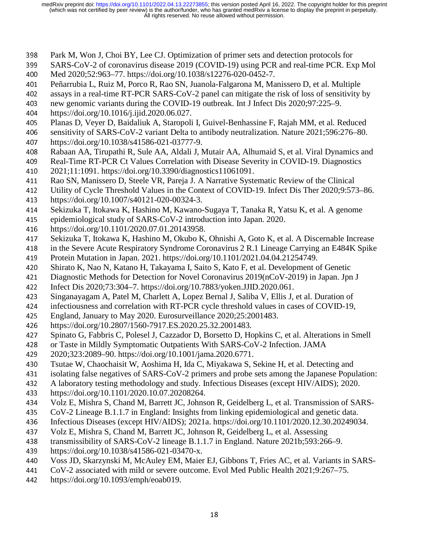- 398 Park M, Won J, Choi BY, Lee CJ. Optimization of primer sets and detection protocols for<br>399 SARS-CoV-2 of coronavirus disease 2019 (COVID-19) using PCR and real-time PCR. Ex
- 399 SARS-CoV-2 of coronavirus disease 2019 (COVID-19) using PCR and real-time PCR. Exp Mol<br>400 Med 2020;52:963–77. https://doi.org/10.1038/s12276-020-0452-7.
- 400 Med 2020;52:963–77. https://doi.org/10.1038/s12276-020-0452-7.<br>401 Peñarrubia L, Ruiz M, Porco R, Rao SN, Juanola-Falgarona M, Ma
- 401 Peñarrubia L, Ruiz M, Porco R, Rao SN, Juanola-Falgarona M, Manissero D, et al. Multiple<br>402 assays in a real-time RT-PCR SARS-CoV-2 panel can mitigate the risk of loss of sensitivity
- 402 assays in a real-time RT-PCR SARS-CoV-2 panel can mitigate the risk of loss of sensitivity by<br>403 new genomic variants during the COVID-19 outbreak. Int J Infect Dis 2020:97:225–9.
- 403 new genomic variants during the COVID-19 outbreak. Int J Infect Dis 2020;97:225–9.<br>404 https://doi.org/10.1016/j.ijid.2020.06.027.
- 404 https://doi.org/10.1016/j.ijid.2020.06.027.<br>405 Planas D, Vever D, Baidaliuk A, Staropoli
- 405 Planas D, Veyer D, Baidaliuk A, Staropoli I, Guivel-Benhassine F, Rajah MM, et al. Reduced<br>406 sensitivity of SARS-CoV-2 variant Delta to antibody neutralization. Nature 2021:596:276–80.
- 406 sensitivity of SARS-CoV-2 variant Delta to antibody neutralization. Nature 2021;596:276–80.<br>407 https://doi.org/10.1038/s41586-021-03777-9.
- 407 https://doi.org/10.1038/s41586-021-03777-9.<br>408 Rabaan AA, Tirupathi R, Sule AA, Aldali J, N
- 408 Rabaan AA, Tirupathi R, Sule AA, Aldali J, Mutair AA, Alhumaid S, et al. Viral Dynamics and<br>409 Real-Time RT-PCR Ct Values Correlation with Disease Severity in COVID-19. Diagnostics
- 409 Real-Time RT-PCR Ct Values Correlation with Disease Severity in COVID-19. Diagnostics 410 2021;11:1091. https://doi.org/10.3390/diagnostics11061091.
- 410 2021;11:1091. https://doi.org/10.3390/diagnostics11061091.<br>411 Rao SN, Manissero D, Steele VR, Pareja J. A Narrative Syste
- 411 Rao SN, Manissero D, Steele VR, Pareja J. A Narrative Systematic Review of the Clinical<br>412 Utility of Cycle Threshold Values in the Context of COVID-19. Infect Dis Ther 2020;9:57
- 412 Utility of Cycle Threshold Values in the Context of COVID-19. Infect Dis Ther 2020;9:573–86.<br>413 https://doi.org/10.1007/s40121-020-00324-3.
- 413 https://doi.org/10.1007/s40121-020-00324-3.<br>414 Sekizuka T, Itokawa K, Hashino M, Kawano-
- 414 Sekizuka T, Itokawa K, Hashino M, Kawano-Sugaya T, Tanaka R, Yatsu K, et al. A genome<br>415 epidemiological study of SARS-CoV-2 introduction into Japan. 2020.
- 415 epidemiological study of SARS-CoV-2 introduction into Japan. 2020.<br>416 https://doi.org/10.1101/2020.07.01.20143958.
- 416 https://doi.org/10.1101/2020.07.01.20143958.<br>417 Sekizuka T, Itokawa K, Hashino M, Okubo K,
- 417 Sekizuka T, Itokawa K, Hashino M, Okubo K, Ohnishi A, Goto K, et al. A Discernable Increase<br>418 in the Severe Acute Respiratory Syndrome Coronavirus 2 R.1 Lineage Carrying an E484K Spike
- 418 in the Severe Acute Respiratory Syndrome Coronavirus 2 R.1 Lineage Carrying an E484K Spike<br>419 Protein Mutation in Japan. 2021. https://doi.org/10.1101/2021.04.04.21254749.
- 419 Protein Mutation in Japan. 2021. https://doi.org/10.1101/2021.04.04.21254749.<br>420 Shirato K. Nao N. Katano H. Takayama I. Saito S. Kato F. et al. Development o
- 420 Shirato K, Nao N, Katano H, Takayama I, Saito S, Kato F, et al. Development of Genetic <br>421 Diagnostic Methods for Detection for Novel Coronavirus 2019(nCoV-2019) in Japan. Jpn
- 421 Diagnostic Methods for Detection for Novel Coronavirus 2019(nCoV-2019) in Japan. Jpn J<br>422 Infect Dis 2020;73:304–7. https://doi.org/10.7883/yoken.JJID.2020.061.
- 122 Infect Dis 2020;73:304–7. https://doi.org/10.7883/yoken.JJID.2020.061.<br>423 Singanayagam A, Patel M, Charlett A, Lopez Bernal J, Saliba V, Ellis J,
- 423 Singanayagam A, Patel M, Charlett A, Lopez Bernal J, Saliba V, Ellis J, et al. Duration of infectiousness and correlation with RT-PCR cycle threshold values in cases of COVID-19,
- 424 infectiousness and correlation with RT-PCR cycle threshold values in cases of COVID-19,<br>425 England, January to May 2020. Eurosurveillance 2020;25:2001483.
- 425 England, January to May 2020. Eurosurveillance 2020;25:2001483.<br>426 https://doi.org/10.2807/1560-7917.ES.2020.25.32.2001483.
- 426 https://doi.org/10.2807/1560-7917.ES.2020.25.32.2001483.<br>427 Spinato G, Fabbris C, Polesel J, Cazzador D, Borsetto D, Ho
- 427 Spinato G, Fabbris C, Polesel J, Cazzador D, Borsetto D, Hopkins C, et al. Alterations in Smell<br>428 or Taste in Mildly Symptomatic Outpatients With SARS-CoV-2 Infection. JAMA
- or Taste in Mildly Symptomatic Outpatients With SARS-CoV-2 Infection. JAMA<br>429 2020;323:2089–90. https://doi.org/10.1001/jama.2020.6771.
- 429 2020;323:2089–90. https://doi.org/10.1001/jama.2020.6771.<br>430 Tsutae W, Chaochaisit W, Aoshima H, Ida C, Miyakawa S, S
- 430 Tsutae W, Chaochaisit W, Aoshima H, Ida C, Miyakawa S, Sekine H, et al. Detecting and<br>431 isolating false negatives of SARS-CoV-2 primers and probe sets among the Japanese Popu
- 431 isolating false negatives of SARS-CoV-2 primers and probe sets among the Japanese Population:<br>432 A laboratory testing methodology and study. Infectious Diseases (except HIV/AIDS); 2020.
- 432 A laboratory testing methodology and study. Infectious Diseases (except HIV/AIDS); 2020.<br>433 https://doi.org/10.1101/2020.10.07.20208264.
- 
- 433 https://doi.org/10.1101/2020.10.07.20208264.<br>434 Volz E, Mishra S, Chand M, Barrett JC, Johns 434 Volz E, Mishra S, Chand M, Barrett JC, Johnson R, Geidelberg L, et al. Transmission of SARS-<br>435 CoV-2 Lineage B.1.1.7 in England: Insights from linking epidemiological and genetic data.
- 
- 435 CoV-2 Lineage B.1.1.7 in England: Insights from linking epidemiological and genetic data.<br>436 Infectious Diseases (except HIV/AIDS); 2021a. https://doi.org/10.1101/2020.12.30.2024903 436 Infectious Diseases (except HIV/AIDS); 2021a. https://doi.org/10.1101/2020.12.30.20249034.<br>437 Volz E, Mishra S, Chand M, Barrett JC, Johnson R, Geidelberg L, et al. Assessing
- 437 Volz E, Mishra S, Chand M, Barrett JC, Johnson R, Geidelberg L, et al. Assessing<br>438 transmissibility of SARS-CoV-2 lineage B.1.1.7 in England. Nature 2021b;593:266
- 438 transmissibility of SARS-CoV-2 lineage B.1.1.7 in England. Nature 2021b;593:266–9.<br>439 https://doi.org/10.1038/s41586-021-03470-x.
- 439 https://doi.org/10.1038/s41586-021-03470-x.<br>440 Voss JD, Skarzynski M, McAuley EM, Maier
- 440 Voss JD, Skarzynski M, McAuley EM, Maier EJ, Gibbons T, Fries AC, et al. Variants in SARS-<br>441 CoV-2 associated with mild or severe outcome. Evol Med Public Health 2021:9:267–75.
- 441 CoV-2 associated with mild or severe outcome. Evol Med Public Health 2021;9:267–75.<br>442 https://doi.org/10.1093/emph/eoab019.
- https://doi.org/10.1093/emph/eoab019.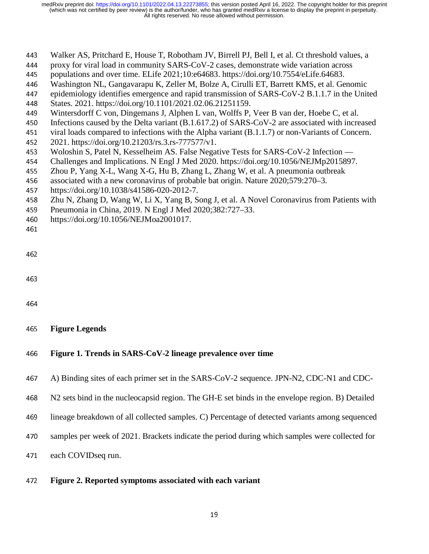- 443 Walker AS, Pritchard E, House T, Robotham JV, Birrell PJ, Bell I, et al. Ct threshold values, a<br>444 proxy for viral load in community SARS-CoV-2 cases, demonstrate wide variation across
- 444 proxy for viral load in community SARS-CoV-2 cases, demonstrate wide variation across populations and over time. ELife 2021;10:e64683. https://doi.org/10.7554/eLife.64683.
- 445 populations and over time. ELife 2021;10:e64683. https://doi.org/10.7554/eLife.64683.<br>446 Washington NL, Gangavarapu K, Zeller M, Bolze A, Cirulli ET, Barrett KMS, et al. Ge
- 446 Washington NL, Gangavarapu K, Zeller M, Bolze A, Cirulli ET, Barrett KMS, et al. Genomic<br>447 epidemiology identifies emergence and rapid transmission of SARS-CoV-2 B.1.1.7 in the Unit
- 447 epidemiology identifies emergence and rapid transmission of SARS-CoV-2 B.1.1.7 in the United<br>448 States. 2021. https://doi.org/10.1101/2021.02.06.21251159.
- 448 States. 2021. https://doi.org/10.1101/2021.02.06.21251159.<br>449 Wintersdorff C von, Dingemans J, Alphen L van, Wolffs P,
- 449 Wintersdorff C von, Dingemans J, Alphen L van, Wolffs P, Veer B van der, Hoebe C, et al.<br>450 Infections caused by the Delta variant (B.1.617.2) of SARS-CoV-2 are associated with incre
- 450 Infections caused by the Delta variant  $(B.1.617.2)$  of SARS-CoV-2 are associated with increased viral loads compared to infections with the Alpha variant  $(B.1.1.7)$  or non-Variants of Concern.
- 451 viral loads compared to infections with the Alpha variant (B.1.1.7) or non-Variants of Concern.<br>452 2021. https://doi.org/10.21203/rs.3.rs-777577/v1.
- 452 2021. https://doi.org/10.21203/rs.3.rs-777577/v1.<br>453 Woloshin S, Patel N, Kesselheim AS. False Nega
- 453 Woloshin S, Patel N, Kesselheim AS. False Negative Tests for SARS-CoV-2 Infection —<br>454 Challenges and Implications. N Engl J Med 2020. https://doi.org/10.1056/NEJMp2015897
- 454 Challenges and Implications. N Engl J Med 2020. https://doi.org/10.1056/NEJMp2015897.<br>455 Zhou P, Yang X-L, Wang X-G, Hu B, Zhang L, Zhang W, et al. A pneumonia outbreak
- 455 Zhou P, Yang X-L, Wang X-G, Hu B, Zhang L, Zhang W, et al. A pneumonia outbreak<br>456 associated with a new coronavirus of probable bat origin. Nature 2020;579:270–3.
- 456 associated with a new coronavirus of probable bat origin. Nature 2020;579:270–3.<br>457 https://doi.org/10.1038/s41586-020-2012-7.
- 457 https://doi.org/10.1038/s41586-020-2012-7.<br>458 Zhu N, Zhang D, Wang W, Li X, Yang B, Se
- 458 Zhu N, Zhang D, Wang W, Li X, Yang B, Song J, et al. A Novel Coronavirus from Patients with<br>459 Pneumonia in China, 2019. N Engl J Med 2020;382:727–33.
- 459 Pneumonia in China, 2019. N Engl J Med 2020;382:727–33.<br>460 https://doi.org/10.1056/NEJMoa2001017.
- https://doi.org/10.1056/NEJMoa2001017.

```
461
```

```
462
```
- 463
- 
- <sup>465</sup>**Figure Legends**

#### <sup>466</sup>**Figure 1. Trends in SARS-CoV-2 lineage prevalence over time**

- 467 A) Binding sites of each primer set in the SARS-CoV-2 sequence. JPN-N2, CDC-N1 and CDC-
- <sup>468</sup>N2 sets bind in the nucleocapsid region. The GH-E set binds in the envelope region. B) Detailed
- <sup>469</sup>lineage breakdown of all collected samples. C) Percentage of detected variants among sequenced
- 470 samples per week of 2021. Brackets indicate the period during which samples were collected for
- 471 each COVIDseq run.

#### <sup>472</sup>**Figure 2. Reported symptoms associated with each variant**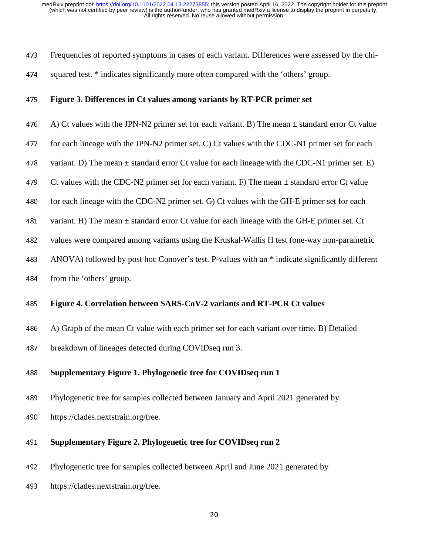- 473 Frequencies of reported symptoms in cases of each variant. Differences were assessed by the chi-
- 474 squared test. \* indicates significantly more often compared with the 'others' group.

#### <sup>475</sup>**Figure 3. Differences in Ct values among variants by RT-PCR primer set**

- 476 A) Ct values with the JPN-N2 primer set for each variant. B) The mean  $\pm$  standard error Ct value
- 477 for each lineage with the JPN-N2 primer set. C) Ct values with the CDC-N1 primer set for each
- 478 variant. D) The mean  $\pm$  standard error Ct value for each lineage with the CDC-N1 primer set. E)
- 479 Ct values with the CDC-N2 primer set for each variant. F) The mean  $\pm$  standard error Ct value
- 480 for each lineage with the CDC-N2 primer set. G) Ct values with the GH-E primer set for each
- 481 variant. H) The mean  $\pm$  standard error Ct value for each lineage with the GH-E primer set. Ct
- 482 values were compared among variants using the Kruskal-Wallis H test (one-way non-parametric
- <sup>483</sup>ANOVA) followed by post hoc Conover's test. P-values with an \* indicate significantly different
- 484 from the 'others' group.

#### <sup>485</sup>**Figure 4. Correlation between SARS-CoV-2 variants and RT-PCR Ct values**

- 486 A) Graph of the mean Ct value with each primer set for each variant over time. B) Detailed
- 487 breakdown of lineages detected during COVIDseq run 3.

### <sup>488</sup>**Supplementary Figure 1. Phylogenetic tree for COVIDseq run 1**

- 489 Phylogenetic tree for samples collected between January and April 2021 generated by
- 490 https://clades.nextstrain.org/tree.

#### <sup>491</sup>**Supplementary Figure 2. Phylogenetic tree for COVIDseq run 2**

- <sup>492</sup>Phylogenetic tree for samples collected between April and June 2021 generated by
- 493 https://clades.nextstrain.org/tree.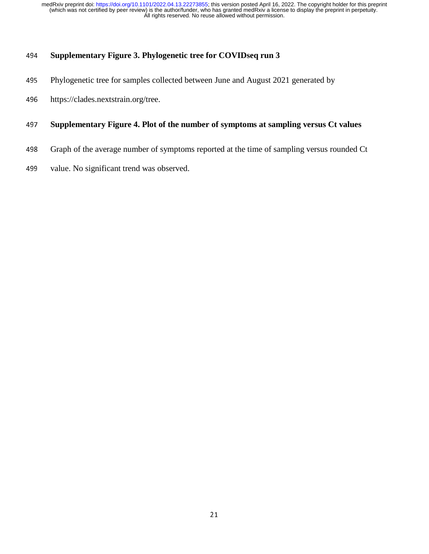# <sup>494</sup>**Supplementary Figure 3. Phylogenetic tree for COVIDseq run 3**

- 495 Phylogenetic tree for samples collected between June and August 2021 generated by
- 496 https://clades.nextstrain.org/tree.

### <sup>497</sup>**Supplementary Figure 4. Plot of the number of symptoms at sampling versus Ct values**

- 498 Graph of the average number of symptoms reported at the time of sampling versus rounded Ct
- 499 value. No significant trend was observed.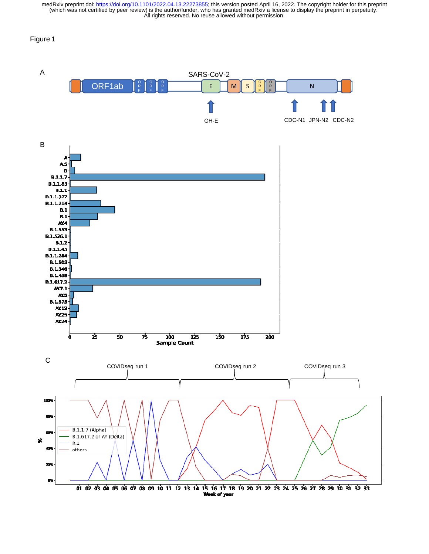#### Figure 1

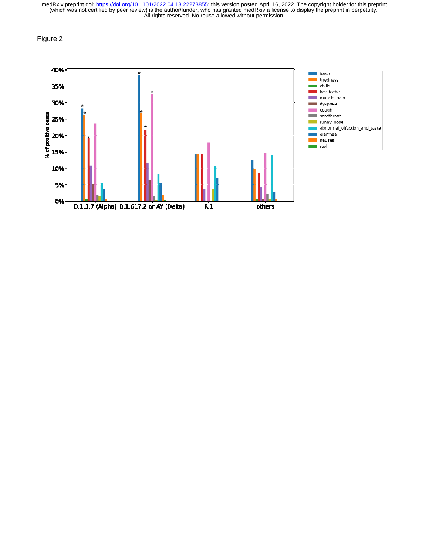Figure 2

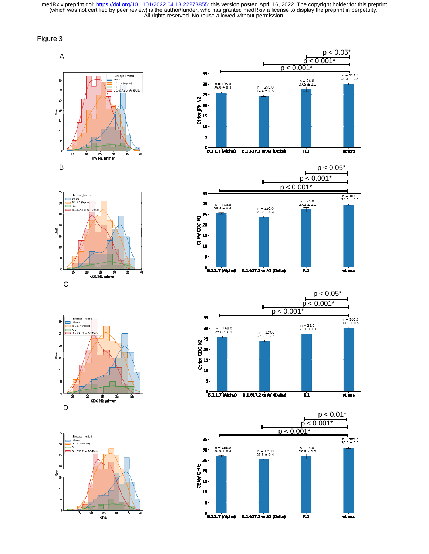















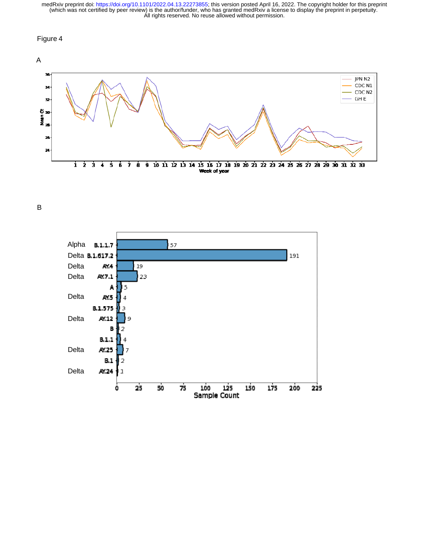#### Figure 4



B

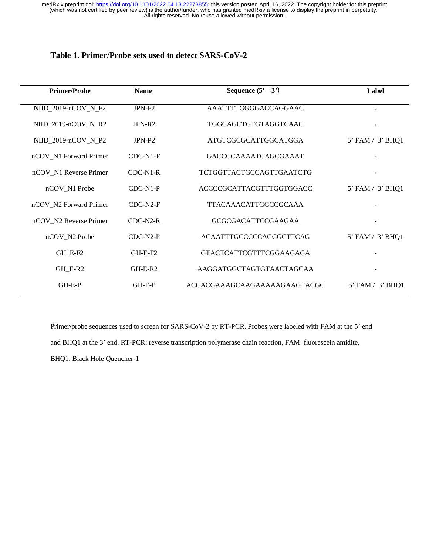### **Table 1. Primer/Probe sets used to detect SARS-CoV-2**

| <b>Primer/Probe</b>    | <b>Name</b>        | Sequence $(5' \rightarrow 3')$  | Label            |
|------------------------|--------------------|---------------------------------|------------------|
| NIID_2019-nCOV_N_F2    | JPN-F <sub>2</sub> | AAATTTTGGGGACCAGGAAC            | ۰                |
| $NIID_2019-nCOV_N_R2$  | $JPN-R2$           | TGGCAGCTGTGTAGGTCAAC            |                  |
| $NIID_2019-nCOV_N_P2$  | $JPN-P2$           | ATGTCGCGCATTGGCATGGA            | 5' FAM / 3' BHQ1 |
| nCOV_N1 Forward Primer | $CDC-N1-F$         | GACCCCAAAATCAGCGAAAT            |                  |
| nCOV_N1 Reverse Primer | $CDC-N1-R$         | <b>TCTGGTTACTGCCAGTTGAATCTG</b> |                  |
| nCOV_N1 Probe          | $CDC-N1-P$         | ACCCCGCATTACGTTTGGTGGACC        | 5' FAM / 3' BHQ1 |
| nCOV_N2 Forward Primer | $CDC-N2-F$         | <b>TTACAAACATTGGCCGCAAA</b>     |                  |
| nCOV N2 Reverse Primer | $CDC-N2-R$         | <b>GCGCGACATTCCGAAGAA</b>       |                  |
| nCOV_N2 Probe          | $CDC-N2-P$         | ACAATTTGCCCCCAGCGCTTCAG         | 5' FAM / 3' BHQ1 |
| GH E-F2                | $GH-E-F2$          | <b>GTACTCATTCGTTTCGGAAGAGA</b>  |                  |
| GH_E-R2                | $GH-E-R2$          | AAGGATGGCTAGTGTAACTAGCAA        |                  |
| $GH-E-P$               | $GH-E-P$           | ACCACGAAAGCAAGAAAAAGAAGTACGC    | 5' FAM / 3' BHQ1 |

Primer/probe sequences used to screen for SARS-CoV-2 by RT-PCR. Probes were labeled with FAM at the 5' end and BHQ1 at the 3' end. RT-PCR: reverse transcription polymerase chain reaction, FAM: fluorescein amidite, BHQ1: Black Hole Quencher-1